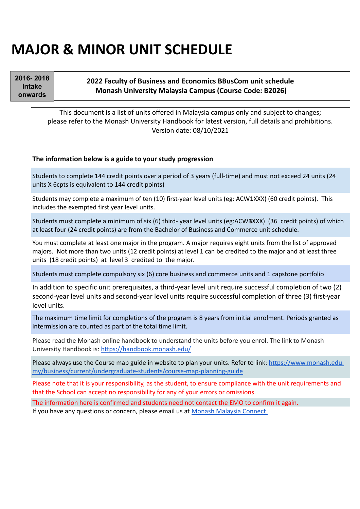# **MAJOR & MINOR UNIT SCHEDULE**

2016-2018 **Intake** onwards

#### **2022 Faculty of Business and Economics BBusCom unit schedule Monash University Malaysia Campus (Course Code: B2026)**

This document is a list of units offered in Malaysia campus only and subject to changes; please refer to the Monash University Handbook for latest version, full details and prohibitions. Version date: 08/10/2021

#### **The information below is a guide to your study progression**

Students to complete 144 credit points over a period of 3 years (full-time) and must not exceed 24 units (24 units X 6cpts is equivalent to 144 credit points)

Students may complete a maximum of ten (10) first-year level units (eg: ACW**1**XXX) (60 credit points). This includes the exempted first year level units.

Students must complete a minimum of six (6) third- year level units (eg:ACW**3**XXX) (36 credit points) of which at least four (24 credit points) are from the Bachelor of Business and Commerce unit schedule.

You must complete at least one major in the program. A major requires eight units from the list of approved majors. Not more than two units (12 credit points) at level 1 can be credited to the major and at least three units (18 credit points) at level 3 credited to the major.

Students must complete compulsory six (6) core business and commerce units and 1 capstone portfolio

In addition to specific unit prerequisites, a third-year level unit require successful completion of two (2) second-year level units and second-year level units require successful completion of three (3) first-year level units.

The maximum time limit for completions of the program is 8 years from initial enrolment. Periods granted as intermission are counted as part of the total time limit.

Please read the Monash online handbook to understand the units before you enrol. The link to Monash University Handbook is: https://handbook.monash.edu/

Please always use the Course map guide in website to plan your units. Refer to link: https://www.monash.edu. my/business/current/undergraduate-students/course-map-planning-guide

Please note that it is your responsibility, as the student, to ensure compliance with the unit requirements and that the School can accept no responsibility for any of your errors or omissions.

The information here is confirmed and students need not contact the EMO to confirm it again.

[If you have any questions or concern, please email us at Monash Malaysia Connect](https://www.monash.edu.my/student-services/connect)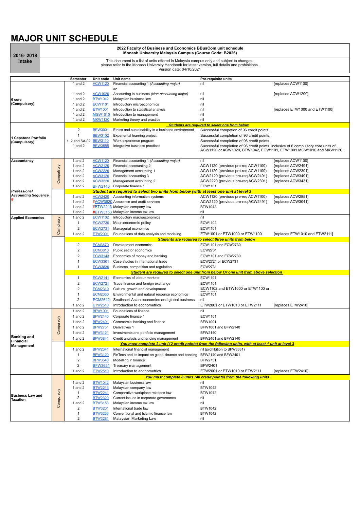## **MAJOR UNIT SCHEDULE**

| 2016-2018                            | 2022 Faculty of Business and Economics BBusCom unit schedule<br>Monash University Malaysia Campus (Course Code: B2026)                                                                                                    |                                                                                     |                                  |                                                                                                                                                 |                                                                                                                                                          |                                |  |  |  |  |
|--------------------------------------|---------------------------------------------------------------------------------------------------------------------------------------------------------------------------------------------------------------------------|-------------------------------------------------------------------------------------|----------------------------------|-------------------------------------------------------------------------------------------------------------------------------------------------|----------------------------------------------------------------------------------------------------------------------------------------------------------|--------------------------------|--|--|--|--|
| <b>Intake</b>                        | This document is a list of units offered in Malaysia campus only and subject to changes;<br>please refer to the Monash University Handbook for latest version, full details and prohibitions.<br>Version date: 04/10/2021 |                                                                                     |                                  |                                                                                                                                                 |                                                                                                                                                          |                                |  |  |  |  |
|                                      |                                                                                                                                                                                                                           | Semester                                                                            | Unit code                        | Unit name                                                                                                                                       | Pre-requisite units                                                                                                                                      |                                |  |  |  |  |
|                                      |                                                                                                                                                                                                                           | 1 and $2$                                                                           | <b>ACW1120</b>                   | Financial accounting 1 (Accounting major)                                                                                                       | nil                                                                                                                                                      | [replaces ACW1100]             |  |  |  |  |
|                                      |                                                                                                                                                                                                                           |                                                                                     |                                  | or                                                                                                                                              |                                                                                                                                                          |                                |  |  |  |  |
| 6 core<br>(Compulsory)               |                                                                                                                                                                                                                           | 1 and $2$<br>1 and $2$                                                              | <b>ACW1020</b><br><b>BTW1042</b> | Accounting in business (Non-accounting major)<br>Malaysian business law                                                                         | nil<br>nil                                                                                                                                               | [replaces ACW1200]             |  |  |  |  |
|                                      |                                                                                                                                                                                                                           | 1 and $2$                                                                           | <b>ECW1101</b>                   | Introductory microeconomics                                                                                                                     | nil                                                                                                                                                      |                                |  |  |  |  |
|                                      |                                                                                                                                                                                                                           | 1 and $2$                                                                           | <b>ETW1001</b>                   | Introduction to statistical analysis                                                                                                            | nil                                                                                                                                                      | [replaces ETW1000 and ETW1100] |  |  |  |  |
|                                      |                                                                                                                                                                                                                           | 1 and 2                                                                             | <b>MGW1010</b>                   | Introduction to management                                                                                                                      | nil                                                                                                                                                      |                                |  |  |  |  |
|                                      |                                                                                                                                                                                                                           | 1 and $2$                                                                           | <b>MKW1120</b>                   | Marketing theory and practice                                                                                                                   | nil                                                                                                                                                      |                                |  |  |  |  |
|                                      |                                                                                                                                                                                                                           |                                                                                     |                                  |                                                                                                                                                 | <b>Students are required to select one from below</b>                                                                                                    |                                |  |  |  |  |
|                                      |                                                                                                                                                                                                                           | $\overline{c}$                                                                      | <b>BEW3001</b>                   | Ethics and sustainability in a business environment                                                                                             | Successful competion of 96 credit points.                                                                                                                |                                |  |  |  |  |
| 1 Capstone Portfolio<br>(Compulsory) |                                                                                                                                                                                                                           | $\mathbf{1}$                                                                        | <b>BEW3102</b>                   | Experiental learning project                                                                                                                    | Successful completion of 96 credit points.                                                                                                               |                                |  |  |  |  |
|                                      |                                                                                                                                                                                                                           | 1, 2 and SA-02 BEW3110                                                              |                                  | Work experience program                                                                                                                         | Successful completion of 96 credit points.                                                                                                               |                                |  |  |  |  |
|                                      |                                                                                                                                                                                                                           | 1 and $2$                                                                           | <b>BEW3555</b>                   | Integrative business practices                                                                                                                  | Successful completion of 96 credit points, inclusive of 6 compulsory core units of<br>ACW1120 or ACW1020, BTW1042, ECW1101, ETW1001 MGW1010 and MKW1120. |                                |  |  |  |  |
| Accountancy                          |                                                                                                                                                                                                                           | 1 and $2$                                                                           | <b>ACW1120</b>                   | Financial accounting 1 (Accounting major)                                                                                                       | nil                                                                                                                                                      | [replaces ACW1100]             |  |  |  |  |
|                                      | Compulsory                                                                                                                                                                                                                | 1 and $2$                                                                           | <b>ACW2120</b>                   | Financial acccounting 2                                                                                                                         | ACW1120 (previous pre-req ACW1100)                                                                                                                       | [replaces ACW2491]             |  |  |  |  |
|                                      |                                                                                                                                                                                                                           | 1 and $2$                                                                           | <b>ACW2220</b>                   | Management accounting 1                                                                                                                         | ACW1120 (previous pre-req ACW1100)                                                                                                                       | [replaces ACW2391]             |  |  |  |  |
|                                      |                                                                                                                                                                                                                           | 1 and $2$                                                                           | <b>ACW3120</b>                   | Financial accounting 3                                                                                                                          | ACW2120 (previous pre-req ACW2491)                                                                                                                       | [replaces ACW3491]             |  |  |  |  |
|                                      |                                                                                                                                                                                                                           | 1 and $2$<br>1 and 2                                                                | <b>ACW3220</b><br><b>BFW2140</b> | Management accounting 2<br>Corporate finance 1                                                                                                  | ACW2220 (previous pre-reg ACW2391)<br>ECW1101                                                                                                            | [replaces ACW3431]             |  |  |  |  |
| <b>Professional</b>                  |                                                                                                                                                                                                                           |                                                                                     |                                  | Student are required to select two units from below (with at least one unit at level 3                                                          |                                                                                                                                                          |                                |  |  |  |  |
| <b>Accounting Sequence</b>           |                                                                                                                                                                                                                           | 1 and $2$                                                                           | <b>ACW2420</b>                   | Accounting information systems                                                                                                                  | ACW1120 (previous pre-req ACW1100)                                                                                                                       | [replaces ACW2851]             |  |  |  |  |
|                                      |                                                                                                                                                                                                                           | 1 and $2$                                                                           |                                  | #ACW3620 Assurance and audit services                                                                                                           | ACW2120 (previous pre-req ACW2491)                                                                                                                       | [replaces ACW3041]             |  |  |  |  |
|                                      |                                                                                                                                                                                                                           | 1 and $2$                                                                           |                                  | #BTW2213 Malaysian company law                                                                                                                  | <b>BTW1042</b>                                                                                                                                           |                                |  |  |  |  |
|                                      |                                                                                                                                                                                                                           | 1 and 2                                                                             |                                  | #BTW3153 Malaysian income tax law                                                                                                               | nil                                                                                                                                                      |                                |  |  |  |  |
| <b>Applied Economics</b>             | Complsory                                                                                                                                                                                                                 | 1 and $2$                                                                           | <b>ECW1102</b>                   | Introductory macroeconomics                                                                                                                     | nil                                                                                                                                                      |                                |  |  |  |  |
|                                      |                                                                                                                                                                                                                           | 1                                                                                   | <b>ECW2730</b>                   | Macroeconomic policy                                                                                                                            | ECW1102                                                                                                                                                  |                                |  |  |  |  |
|                                      |                                                                                                                                                                                                                           | $\overline{2}$                                                                      | <b>ECW2731</b>                   | Managerial economics                                                                                                                            | ECW1101                                                                                                                                                  |                                |  |  |  |  |
|                                      |                                                                                                                                                                                                                           | 1 and 2                                                                             | <b>ETW2001</b>                   | Foundations of data analysis and modeling                                                                                                       | ETW1001 or ETW1000 or ETW1100                                                                                                                            | [replaces ETW1010 and ETW2111] |  |  |  |  |
|                                      |                                                                                                                                                                                                                           |                                                                                     |                                  |                                                                                                                                                 | <b>Students are required to select three units from below</b>                                                                                            |                                |  |  |  |  |
|                                      |                                                                                                                                                                                                                           | $\overline{2}$                                                                      | <b>ECM3670</b>                   | Development economics                                                                                                                           | ECW1101 and ECW2730                                                                                                                                      |                                |  |  |  |  |
|                                      |                                                                                                                                                                                                                           | $\overline{2}$                                                                      | <b>ECM3810</b>                   | Public sector economics                                                                                                                         | ECW2731                                                                                                                                                  |                                |  |  |  |  |
|                                      |                                                                                                                                                                                                                           | $\overline{2}$                                                                      | ECW3143                          | Economics of money and banking                                                                                                                  | ECW1101 and ECW2730                                                                                                                                      |                                |  |  |  |  |
|                                      |                                                                                                                                                                                                                           | 1                                                                                   | <b>ECW3301</b>                   | Case studies in international trade                                                                                                             | ECW2721 or ECW2731                                                                                                                                       |                                |  |  |  |  |
|                                      |                                                                                                                                                                                                                           | 1                                                                                   | <b>ECW3830</b>                   | Business, competition and regulation                                                                                                            | ECW2731                                                                                                                                                  |                                |  |  |  |  |
|                                      |                                                                                                                                                                                                                           | Student are required to select one unit from below Or one unit from above selection |                                  |                                                                                                                                                 |                                                                                                                                                          |                                |  |  |  |  |
|                                      |                                                                                                                                                                                                                           | 1                                                                                   | <b>ECW2141</b>                   | Economics of labour markets                                                                                                                     | ECW1101                                                                                                                                                  |                                |  |  |  |  |
|                                      |                                                                                                                                                                                                                           | $\overline{\mathbf{c}}$                                                             | <b>ECW2721</b>                   | Trade finance and foreign exchange                                                                                                              | ECW1101                                                                                                                                                  |                                |  |  |  |  |
|                                      |                                                                                                                                                                                                                           | $\overline{2}$                                                                      | <b>ECM2310</b>                   | Culture, growth and development                                                                                                                 | ECW1102 and ETW1000 or ETW1100 or                                                                                                                        |                                |  |  |  |  |
|                                      |                                                                                                                                                                                                                           | $\mathbf{1}$                                                                        | <b>ECM2360</b>                   | Environmental and natural resource economics                                                                                                    | ECW1101                                                                                                                                                  |                                |  |  |  |  |
|                                      |                                                                                                                                                                                                                           | 2                                                                                   | <b>ECM2642</b>                   | Southeast Asian economies and global business                                                                                                   | nil                                                                                                                                                      |                                |  |  |  |  |
|                                      |                                                                                                                                                                                                                           | 1 and $2$                                                                           | <b>ETW2510</b>                   | Introduction to econometrics                                                                                                                    | ETW2001 or ETW1010 or ETW2111                                                                                                                            | [replaces ETW2410]             |  |  |  |  |
|                                      |                                                                                                                                                                                                                           | 1 and $2$                                                                           | <b>BFW1001</b>                   | Foundations of finance                                                                                                                          | nil                                                                                                                                                      |                                |  |  |  |  |
|                                      |                                                                                                                                                                                                                           | 1 and 2                                                                             | <u>BFW2140</u>                   | Corporate finance 1                                                                                                                             | ECW1101                                                                                                                                                  |                                |  |  |  |  |
|                                      |                                                                                                                                                                                                                           | 1 and 2                                                                             | <b>BFW2401</b>                   | Commercial banking and finance<br>Derivatives 1                                                                                                 | <b>BFW1001</b>                                                                                                                                           |                                |  |  |  |  |
|                                      | Compulsory                                                                                                                                                                                                                | 1 and 2                                                                             | <b>BFW2751</b>                   |                                                                                                                                                 | BFW1001 and BFW2140<br><b>BFW2140</b>                                                                                                                    |                                |  |  |  |  |
| <b>Banking and</b>                   |                                                                                                                                                                                                                           | 1 and 2                                                                             | <b>BFW3121</b>                   | Investments and portfolio management                                                                                                            |                                                                                                                                                          |                                |  |  |  |  |
| Financial                            |                                                                                                                                                                                                                           | 1 and 2                                                                             | <b>BFW3841</b>                   | Credit analysis and lending management<br>You must complete 2 unit (12 credit points) from the following units, with at least 1 unit at level 3 | BFW2401 and BFW2140                                                                                                                                      |                                |  |  |  |  |
| Management                           |                                                                                                                                                                                                                           | 1 and $2$                                                                           | <b>BFW2341</b>                   | International financial management                                                                                                              | nil (prohibition to BFW3331)                                                                                                                             |                                |  |  |  |  |
|                                      |                                                                                                                                                                                                                           | 1                                                                                   | <b>BFW3120</b>                   | FinTech and its impact on global finance and banking                                                                                            | BFW2140 and BFW2401                                                                                                                                      |                                |  |  |  |  |
|                                      |                                                                                                                                                                                                                           | $\overline{\mathbf{c}}$                                                             | <b>BFW3540</b>                   | Modelling in finance                                                                                                                            | <b>BFW2751</b>                                                                                                                                           |                                |  |  |  |  |
|                                      |                                                                                                                                                                                                                           | 2                                                                                   | BFW3651                          | Treasury management                                                                                                                             | <b>BFW2401</b>                                                                                                                                           |                                |  |  |  |  |
|                                      |                                                                                                                                                                                                                           | 1 and 2                                                                             | ETW2510                          | Introduction to econometrics                                                                                                                    | ETW2001 or ETW1010 or ETW2111                                                                                                                            | [replaces ETW2410]             |  |  |  |  |
|                                      |                                                                                                                                                                                                                           |                                                                                     |                                  |                                                                                                                                                 | You must complete 8 units (48 credit points) from the following units                                                                                    |                                |  |  |  |  |
|                                      |                                                                                                                                                                                                                           | 1 and 2                                                                             | <b>BTW1042</b>                   | Malaysian business law                                                                                                                          | nil                                                                                                                                                      |                                |  |  |  |  |
| <b>Business Law and</b><br>Taxation  |                                                                                                                                                                                                                           | 1 and 2                                                                             | <b>BTW2213</b>                   | Malaysian company law                                                                                                                           | BTW1042                                                                                                                                                  |                                |  |  |  |  |
|                                      |                                                                                                                                                                                                                           | 1                                                                                   | <b>BTW2241</b>                   | Comparative workplace relations law                                                                                                             | BTW1042                                                                                                                                                  |                                |  |  |  |  |
|                                      |                                                                                                                                                                                                                           | 2                                                                                   | <b>BTW2320</b>                   | Current issues in corporate governance                                                                                                          | nil                                                                                                                                                      |                                |  |  |  |  |
|                                      | Compulsory                                                                                                                                                                                                                | 1 and $2$                                                                           | <b>BTW3153</b>                   | Malaysian income tax law                                                                                                                        | nil                                                                                                                                                      |                                |  |  |  |  |
|                                      |                                                                                                                                                                                                                           | 2                                                                                   | <b>BTW3201</b>                   | International trade law                                                                                                                         | BTW1042                                                                                                                                                  |                                |  |  |  |  |
|                                      |                                                                                                                                                                                                                           | $\mathbf{1}$                                                                        | <b>BTW3233</b>                   | Conventional and Islamic finance law                                                                                                            | BTW1042                                                                                                                                                  |                                |  |  |  |  |
|                                      |                                                                                                                                                                                                                           | $\overline{2}$                                                                      | <b>BTW3281</b>                   | Malaysian Marketing Law                                                                                                                         | nil                                                                                                                                                      |                                |  |  |  |  |